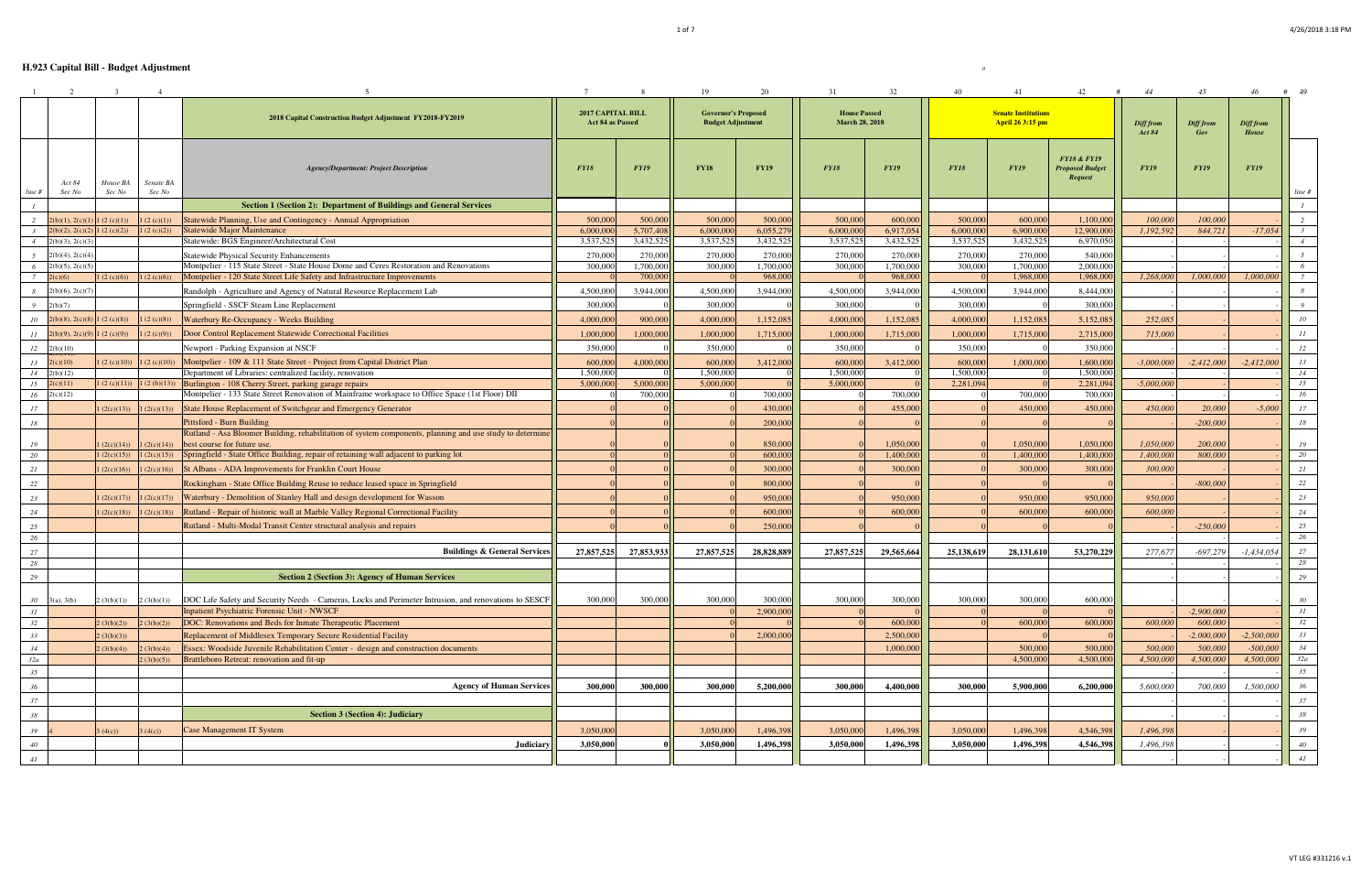|                  | 2                               | $\mathcal{R}$      |                     |                                                                                                          |                                              | -8          | 19                                                     | 20          | 31                                           | 32          | 40          | 41                                             | 42                                                          | 44                         | 45               | 46                 | #<br>- 49      |
|------------------|---------------------------------|--------------------|---------------------|----------------------------------------------------------------------------------------------------------|----------------------------------------------|-------------|--------------------------------------------------------|-------------|----------------------------------------------|-------------|-------------|------------------------------------------------|-------------------------------------------------------------|----------------------------|------------------|--------------------|----------------|
|                  |                                 |                    |                     | 2018 Capital Construction Budget Adjustment FY2018-FY2019                                                | <b>2017 CAPITAL BILL</b><br>Act 84 as Passed |             | <b>Governor's Proposed</b><br><b>Budget Adjustment</b> |             | <b>House Passed</b><br><b>March 28, 2018</b> |             |             | <b>Senate Institutions</b><br>April 26 3:15 pm |                                                             | Diff from<br><b>Act 84</b> | Diff from<br>Gov | Diff from<br>House |                |
| line #           | Act 84<br>Sec No                | House BA<br>Sec No | Senate BA<br>Sec No | <b>Agency/Department: Project Description</b>                                                            | <b>FY18</b>                                  | <b>FY19</b> | <b>FY18</b>                                            | <b>FY19</b> | <b>FY18</b>                                  | <b>FY19</b> | <b>FY18</b> | <b>FY19</b>                                    | <b>FY18 &amp; FY19</b><br><b>Proposed Budget</b><br>Request | <b>FY19</b>                | <b>FY19</b>      | <b>FY19</b>        | line #         |
|                  |                                 |                    |                     | Section 1 (Section 2): Department of Buildings and General Services                                      |                                              |             |                                                        |             |                                              |             |             |                                                |                                                             |                            |                  |                    |                |
| 2                | 2(b)(1), 2(c)(1)                | 1(2(c)(1))         | 1(2(c)(1))          | Statewide Planning, Use and Contingency - Annual Appropriation                                           | 500,000                                      | 500,000     | 500,000                                                | 500,000     | 500,000                                      | 600,000     | 500,000     | 600,000                                        | 1,100,000                                                   | 100,000                    | 100,000          |                    |                |
|                  | $2(b)(2), 2(c)(2)$ 1 (2 (c)(2)) |                    | 1(2(c)(2))          | <b>Statewide Major Maintenance</b>                                                                       | 6.000,000                                    | 5,707,408   | 6,000,000                                              | 6,055,279   | 6,000,000                                    | 6,917,054   | 6.000,000   | 6.900,000                                      | 12,900,000                                                  | 1,192,592                  | 844,721          | $-17,054$          | $\mathcal{Z}$  |
| $\overline{4}$   | 2(b)(3), 2(c)(3)                |                    |                     | Statewide: BGS Engineer/Architectural Cost                                                               | 3,537,525                                    | 3,432,525   | 3,537,525                                              | 3,432,525   | 3,537,525                                    | 3,432,525   | 3,537,525   | 3,432,525                                      | 6,970,050                                                   |                            |                  |                    | $\overline{4}$ |
|                  | $2(b)(4)$ , $2(c)(4)$           |                    |                     | <b>Statewide Physical Security Enhancements</b>                                                          | 270,000                                      | 270,000     | 270,000                                                | 270,000     | 270,000                                      | 270,000     | 270,000     | 270,000                                        | 540,000                                                     |                            |                  |                    |                |
| -6               | 2(b)(5), 2(c)(5)                |                    |                     | Montpelier - 115 State Street - State House Dome and Ceres Restoration and Renovations                   | 300,000                                      | 1,700,000   | 300,000                                                | 1,700,000   | 300,000                                      | 1,700,000   | 300,000     | 1,700,000                                      | 2,000,000                                                   |                            |                  |                    | 6              |
|                  | 2(c)(6)                         | 1(2(c)(6))         | 1(2(c)(6))          | Montpelier - 120 State Street Life Safety and Infrastructure Improvements                                |                                              | 700,000     |                                                        | 968,000     |                                              | 968,000     |             | 1,968,000                                      | 1,968,00                                                    | 1,268,000                  | 1,000,000        | 1,000,000          |                |
| 8                | $2(b)(6)$ , $2(c)(7)$           |                    |                     | Randolph - Agriculture and Agency of Natural Resource Replacement Lab                                    | 4,500,000                                    | 3,944,000   | 4,500,000                                              | 3,944,000   | 4,500,000                                    | 3,944,000   | 4,500,000   | 3,944,000                                      | 8,444,000                                                   |                            |                  |                    |                |
| 9                | 2(b)(7)                         |                    |                     | Springfield - SSCF Steam Line Replacement                                                                | 300,000                                      |             | 300,000                                                |             | 300,000                                      |             | 300,000     |                                                | 300,000                                                     |                            |                  |                    |                |
|                  | $2(b)(8), 2(c)(8)$ 1 (2 (c)(8)) |                    | 1(2(c)(8))          | Waterbury Re-Occupancy - Weeks Building                                                                  | 4,000,000                                    | 900,000     | 4,000,000                                              | 1,152,085   | 4,000,000                                    | 1,152,085   | 4,000,000   | 1,152,085                                      | 5,152,085                                                   | 252,085                    |                  |                    | 10             |
| 10 <sup>10</sup> |                                 |                    |                     |                                                                                                          |                                              |             |                                                        |             |                                              |             |             |                                                |                                                             |                            |                  |                    |                |
| 11               | $2(b)(9), 2(c)(9)$ 1 (2 (c)(9)) |                    | 1(2(c)(9))          | Door Control Replacement Statewide Correctional Facilities                                               | 1,000,000                                    | 1,000,000   | 1,000,000                                              | 1,715,000   | 1,000,000                                    | 1,715,000   | 1,000,000   | 1,715,000                                      | 2,715,00                                                    | 715,000                    |                  |                    | 11             |
| 12               | 2(b)(10)                        |                    |                     | Newport - Parking Expansion at NSCF                                                                      | 350,000                                      |             | 350,000                                                |             | 350,000                                      |             | 350,000     |                                                | 350,000                                                     |                            |                  |                    | 12             |
| 13               | 2(c)(10)                        | (2 (c)(10))        | 1(2(c)(10))         | Montpelier - 109 & 111 State Street - Project from Capital District Plan                                 | 600,000                                      | 4,000,000   | 600,000                                                | 3,412,000   | 600,000                                      | 3,412,000   | 600,000     | 1,000,000                                      | 1,600,00                                                    | $-3,000,000$               | $-2,412,000$     | $-2,412,000$       | 13             |
| 14               | 2(b)(12)                        |                    |                     | Department of Libraries: centralized facility, renovation                                                | 1,500,000                                    |             | 1.500,000                                              |             | 1,500,000                                    |             | 1,500,000   |                                                | 1,500,000                                                   |                            |                  |                    | 14             |
| 15               | 2(c)(11)                        | 1(2(c)(11))        | 1(2(b)(13))         | Burlington - 108 Cherry Street, parking garage repairs                                                   | 5,000,000                                    | 5,000,000   | 5,000,000                                              |             | 5,000,000                                    |             | 2,281,094   |                                                | 2,281,094                                                   | $-5,000,000$               |                  |                    | 15             |
| 16               | 2(c)(12)                        |                    |                     | Montpelier - 133 State Street Renovation of Mainframe workspace to Office Space (1st Floor) DII          |                                              | 700,000     |                                                        | 700,000     |                                              | 700,000     |             | 700,000                                        | 700,000                                                     |                            |                  |                    | 16             |
| 17               |                                 | (2(c)(13))         | 1(2(c)(13))         | State House Replacement of Switchgear and Emergency Generator                                            |                                              |             |                                                        | 430,000     |                                              | 455,000     |             | 450,000                                        | 450,000                                                     | 450,000                    | 20,000           | $-5,000$           | 17             |
| 18               |                                 |                    |                     | <b>Pittsford - Burn Building</b>                                                                         |                                              |             |                                                        | 200,000     |                                              |             |             |                                                |                                                             |                            | $-200,000$       |                    | 18             |
|                  |                                 |                    |                     | Rutland - Asa Bloomer Building, rehabilitation of system components, planning and use study to determine |                                              |             |                                                        |             |                                              |             |             |                                                |                                                             |                            |                  |                    |                |
| 19               |                                 | (2(c)(14))         | 1(2(c)(14))         | best course for future use.                                                                              |                                              |             |                                                        | 850,000     |                                              | 1,050,000   |             | 1,050,000                                      | 1,050,000                                                   | 1,050,000                  | 200,000          |                    | 19<br>20       |
| 20               |                                 | 1(2(c)(15))        | 1(2(c)(15))         | Springfield - State Office Building, repair of retaining wall adjacent to parking lot                    |                                              |             |                                                        | 600,000     |                                              | 1,400,000   |             | 1,400,000                                      | 1,400,000                                                   | 1,400,000                  | 800,000          |                    |                |
| 21               |                                 | (2(c)(16))         | 1(2(c)(16))         | St Albans - ADA Improvements for Franklin Court House                                                    |                                              |             |                                                        | 300,000     |                                              | 300,000     |             | 300,000                                        | 300,000                                                     | 300,000                    |                  |                    | 21             |
| 22               |                                 |                    |                     | Rockingham - State Office Building Reuse to reduce leased space in Springfield                           |                                              |             |                                                        | 800,000     |                                              |             |             |                                                |                                                             |                            | $-800,000$       |                    | 22             |
| 23               |                                 | (2(c)(17))         | 1(2(c)(17))         | Waterbury - Demolition of Stanley Hall and design development for Wasson                                 |                                              |             |                                                        | 950,000     |                                              | 950,000     |             | 950,000                                        | 950,000                                                     | 950,000                    |                  |                    | 23             |
| 24               |                                 | 1(2(c)(18))        | 1(2(c)(18))         | Rutland - Repair of historic wall at Marble Valley Regional Correctional Facility                        |                                              |             |                                                        | 600,000     |                                              | 600,000     |             | 600,000                                        | 600,000                                                     | 600,000                    |                  |                    | 24             |
| 25               |                                 |                    |                     | Rutland - Multi-Modal Transit Center structural analysis and repairs                                     |                                              |             |                                                        | 250,000     |                                              |             |             |                                                |                                                             |                            | $-250,000$       |                    | 25             |
| 26               |                                 |                    |                     |                                                                                                          |                                              |             |                                                        |             |                                              |             |             |                                                |                                                             |                            |                  |                    | 26             |
| 27               |                                 |                    |                     | <b>Buildings &amp; General Services</b>                                                                  | 27,857,525                                   | 27,853,933  | 27,857,525                                             | 28,828,889  | 27,857,525                                   | 29,565,664  | 25,138,619  | 28,131,610                                     | 53,270,229                                                  | 277,677                    | $-697,279$       | $-1,434,054$       | 27             |
| 28               |                                 |                    |                     |                                                                                                          |                                              |             |                                                        |             |                                              |             |             |                                                |                                                             |                            |                  |                    | 28             |
| 29               |                                 |                    |                     | <b>Section 2 (Section 3): Agency of Human Services</b>                                                   |                                              |             |                                                        |             |                                              |             |             |                                                |                                                             |                            |                  |                    | 29             |
|                  |                                 |                    |                     |                                                                                                          |                                              |             |                                                        |             |                                              |             |             |                                                |                                                             |                            |                  |                    |                |
| 30               | 3(a), 3(b)                      | 2(3(b)(1))         | 2(3(b)(1))          | DOC Life Safety and Security Needs - Cameras, Locks and Perimeter Intrusion, and renovations to SESCF    | 300,000                                      | 300,000     | 300,000                                                | 300,000     | 300,000                                      | 300,000     | 300,000     | 300,000                                        | 600,000                                                     |                            |                  |                    | 30             |
| 31               |                                 |                    |                     | Inpatient Psychiatric Forensic Unit - NWSCF                                                              |                                              |             |                                                        | 2,900,000   |                                              |             |             |                                                |                                                             |                            | $-2,900,000$     |                    | 31             |
| 32               |                                 | (3(b)(2))          | 2(3(b)(2))          | DOC: Renovations and Beds for Inmate Therapeutic Placement                                               |                                              |             |                                                        |             |                                              | 600,000     |             | 600,000                                        | 600,000                                                     | 600,000                    | 600,000          |                    | 32             |
| 33               |                                 | 2(3(b)(3))         |                     | Replacement of Middlesex Temporary Secure Residential Facility                                           |                                              |             |                                                        | 2,000,000   |                                              | 2,500,000   |             |                                                |                                                             |                            | $-2,000,000$     | $-2,500,000$       | 33             |
| 34               |                                 | 2(3(b)(4))         | 2(3(b)(4))          | Essex: Woodside Juvenile Rehabilitation Center - design and construction documents                       |                                              |             |                                                        |             |                                              | 1,000,000   |             | 500,000                                        | 500,000                                                     | 500,000                    | 500,000          | $-500,000$         | 34             |
| 32a              |                                 |                    | 2(3(b)(5))          | Brattleboro Retreat: renovation and fit-up                                                               |                                              |             |                                                        |             |                                              |             |             | 4,500,000                                      | 4,500,000                                                   | 4,500,000                  | 4,500,000        | 4,500,000          | 32a            |
| 35               |                                 |                    |                     |                                                                                                          |                                              |             |                                                        |             |                                              |             |             |                                                |                                                             |                            |                  |                    | 35             |
| 36               |                                 |                    |                     | <b>Agency of Human Services</b>                                                                          | 300,000                                      | 300,000     | 300,000                                                | 5,200,000   | 300,000                                      | 4,400,000   | 300,000     | 5,900,000                                      | 6,200,000                                                   | 5,600,000                  | 700,000          | 1,500,000          | 36             |
| 37               |                                 |                    |                     |                                                                                                          |                                              |             |                                                        |             |                                              |             |             |                                                |                                                             |                            |                  |                    | 37             |
|                  |                                 |                    |                     |                                                                                                          |                                              |             |                                                        |             |                                              |             |             |                                                |                                                             |                            |                  |                    |                |
| 38               |                                 |                    |                     | <b>Section 3 (Section 4): Judiciary</b>                                                                  |                                              |             |                                                        |             |                                              |             |             |                                                |                                                             |                            |                  |                    | 38             |
| 39               |                                 | (4(c))             | 3(4(c))             | <b>Case Management IT System</b>                                                                         | 3.050,000                                    |             | 3.050.000                                              | 1,496,398   | 3.050,000                                    | 1,496,398   | 3.050,000   | 1,496,398                                      | 4,546,398                                                   | 1,496,398                  |                  |                    | 39             |
| 40               |                                 |                    |                     | <b>Judiciary</b>                                                                                         | 3,050,000                                    |             | 3,050,000                                              | 1,496,398   | 3,050,000                                    | 1,496,398   | 3,050,000   | 1,496,398                                      | 4,546,398                                                   | 1,496,398                  |                  |                    | 40             |
| 41               |                                 |                    |                     |                                                                                                          |                                              |             |                                                        |             |                                              |             |             |                                                |                                                             |                            |                  |                    | 41             |
|                  |                                 |                    |                     |                                                                                                          |                                              |             |                                                        |             |                                              |             |             |                                                |                                                             |                            |                  |                    |                |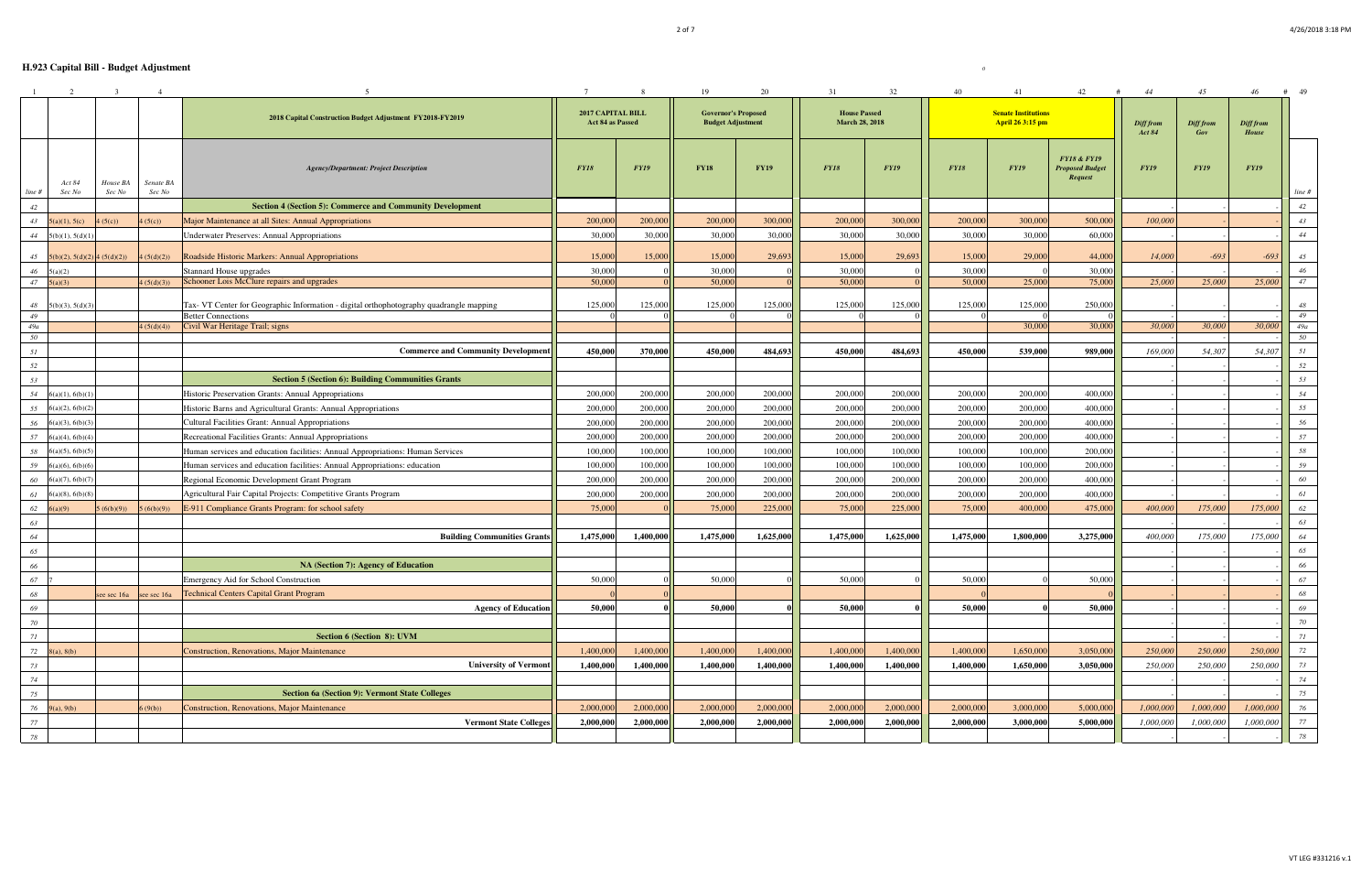|              | 2                                      | $\overline{\mathbf{3}}$ | $\overline{4}$      |                                                                                         |                                       | 8           | 19                                                     | 20          | 31                                           | 32          | 40          | 41                                             | 42                                                          | 44                         | 45               | 46                 | # 49         |
|--------------|----------------------------------------|-------------------------|---------------------|-----------------------------------------------------------------------------------------|---------------------------------------|-------------|--------------------------------------------------------|-------------|----------------------------------------------|-------------|-------------|------------------------------------------------|-------------------------------------------------------------|----------------------------|------------------|--------------------|--------------|
|              |                                        |                         |                     | 2018 Capital Construction Budget Adjustment FY2018-FY2019                               | 2017 CAPITAL BILL<br>Act 84 as Passed |             | <b>Governor's Proposed</b><br><b>Budget Adjustment</b> |             | <b>House Passed</b><br><b>March 28, 2018</b> |             |             | <b>Senate Institutions</b><br>April 26 3:15 pm |                                                             | Diff from<br><b>Act 84</b> | Diff from<br>Gov | Diff from<br>House |              |
|              | Act 84<br>Sec No                       | House BA<br>Sec No      | Senate BA<br>Sec No | <b>Agency/Department: Project Description</b>                                           | <b>FY18</b>                           | <b>FY19</b> | <b>FY18</b>                                            | <b>FY19</b> | <b>FY18</b>                                  | <b>FY19</b> | <b>FY18</b> | <b>FY19</b>                                    | <b>FY18 &amp; FY19</b><br><b>Proposed Budget</b><br>Request | <b>FY19</b>                | <b>FY19</b>      | <b>FY19</b>        |              |
| line #<br>42 |                                        |                         |                     | <b>Section 4 (Section 5): Commerce and Community Development</b>                        |                                       |             |                                                        |             |                                              |             |             |                                                |                                                             |                            |                  |                    | line #<br>42 |
|              | 43 $5(a)(1), 5(c)$                     | (5(c))                  | (5(c))              | Major Maintenance at all Sites: Annual Appropriations                                   | 200,000                               | 200,000     | 200,000                                                | 300,000     | 200,000                                      | 300,000     | 200,000     | 300,000                                        | 500,000                                                     | 100,000                    |                  |                    | 43           |
|              | 44 $5(b)(1), 5(d)(1)$                  |                         |                     | Underwater Preserves: Annual Appropriations                                             | 30,000                                | 30,000      | 30,000                                                 | 30,000      | 30,000                                       | 30,000      | 30,000      | 30,000                                         | 60,000                                                      |                            |                  |                    | 44           |
|              |                                        |                         |                     |                                                                                         |                                       |             |                                                        |             |                                              |             |             |                                                |                                                             |                            |                  |                    |              |
|              | 45 $5(b)(2)$ , $5(d)(2)$ 4 $(5(d)(2))$ |                         | (5(d)(2))           | Roadside Historic Markers: Annual Appropriations                                        | 15,000                                | 15,000      | 15,000                                                 | 29,693      | 15,000                                       | 29,693      | 15,000      | 29,000                                         | 44,000                                                      | 14,000                     | $-693$           | $-693$             | 45           |
| 46           | 5(a)(2)                                |                         |                     | Stannard House upgrades                                                                 | 30,000                                |             | 30,000                                                 |             | 30,000                                       |             | 30,000      |                                                | 30,000                                                      |                            |                  |                    | 46           |
|              | $47 \quad 5(a)(3)$                     |                         | 4(5(d)(3))          | Schooner Lois McClure repairs and upgrades                                              | 50,000                                |             | 50,000                                                 |             | 50,000                                       |             | 50,000      | 25,000                                         | 75,000                                                      | 25,000                     | 25,000           | 25,000             | 47           |
| 48           | 5(b)(3), 5(d)(3)                       |                         |                     | Tax- VT Center for Geographic Information - digital orthophotography quadrangle mapping | 125,000                               | 125,000     | 125,000                                                | 125,000     | 125,000                                      | 125,000     | 125,000     | 125,000                                        | 250,000                                                     |                            |                  |                    | 48           |
| 49           |                                        |                         |                     | <b>Better Connections</b>                                                               |                                       |             |                                                        |             |                                              |             |             |                                                |                                                             |                            |                  |                    | 49           |
| 49a          |                                        |                         | 4(5(d)(4))          | Civil War Heritage Trail; signs                                                         |                                       |             |                                                        |             |                                              |             |             | 30,000                                         | 30,000                                                      | 30,000                     | 30,000           | 30,000             | 49a          |
| 50           |                                        |                         |                     |                                                                                         |                                       |             |                                                        |             |                                              |             |             |                                                |                                                             |                            |                  |                    | 50           |
| 51           |                                        |                         |                     | <b>Commerce and Community Development</b>                                               | 450,000                               | 370,000     | 450,000                                                | 484,693     | 450,000                                      | 484,693     | 450,000     | 539,000                                        | 989,000                                                     | 169,000                    | 54,307           | 54,307             | 51           |
| 52           |                                        |                         |                     |                                                                                         |                                       |             |                                                        |             |                                              |             |             |                                                |                                                             |                            |                  |                    | 52           |
| 53           |                                        |                         |                     | <b>Section 5 (Section 6): Building Communities Grants</b>                               |                                       |             |                                                        |             |                                              |             |             |                                                |                                                             |                            |                  |                    | 53           |
| 54           | 6(a)(1), 6(b)(1)                       |                         |                     | Historic Preservation Grants: Annual Appropriations                                     | 200,000                               | 200,000     | 200,000                                                | 200,000     | 200,000                                      | 200,000     | 200,000     | 200,000                                        | 400,000                                                     |                            |                  |                    | 54           |
| 55           | 6(a)(2), 6(b)(2)                       |                         |                     | Historic Barns and Agricultural Grants: Annual Appropriations                           | 200,000                               | 200,000     | 200,000                                                | 200,000     | 200,000                                      | 200,000     | 200,000     | 200,000                                        | 400,000                                                     |                            |                  |                    | 55           |
| 56           | 6(a)(3), 6(b)(3)                       |                         |                     | Cultural Facilities Grant: Annual Appropriations                                        | 200,000                               | 200,000     | 200,000                                                | 200,000     | 200,000                                      | 200,000     | 200,000     | 200,000                                        | 400,000                                                     |                            |                  |                    | 56           |
| 57           | $6(a)(4)$ , $6(b)(4)$                  |                         |                     | Recreational Facilities Grants: Annual Appropriations                                   | 200,000                               | 200,000     | 200,000                                                | 200,000     | 200,000                                      | 200,000     | 200,000     | 200,000                                        | 400,000                                                     |                            |                  |                    | 57           |
| 58           | $6(a)(5)$ , $6(b)(5)$                  |                         |                     | Human services and education facilities: Annual Appropriations: Human Services          | 100,000                               | 100,000     | 100,000                                                | 100,000     | 100,000                                      | 100,000     | 100,000     | 100,000                                        | 200,000                                                     |                            |                  |                    | 58           |
| 59           | $6(a)(6)$ , $6(b)(6)$                  |                         |                     | Human services and education facilities: Annual Appropriations: education               | 100,000                               | 100,000     | 100,000                                                | 100,000     | 100,000                                      | 100,000     | 100,000     | 100,000                                        | 200,000                                                     |                            |                  |                    | 59           |
| 60           | 6(a)(7), 6(b)(7)                       |                         |                     | Regional Economic Development Grant Program                                             | 200,000                               | 200,000     | 200,000                                                | 200,000     | 200,000                                      | 200,000     | 200,000     | 200,000                                        | 400,000                                                     |                            |                  |                    | 60           |
| 61           | 6(a)(8), 6(b)(8)                       |                         |                     | Agricultural Fair Capital Projects: Competitive Grants Program                          | 200,000                               | 200,000     | 200,000                                                | 200,000     | 200,000                                      | 200,000     | 200,000     | 200,000                                        | 400,000                                                     |                            |                  |                    | 61           |
| 62           | 6(a)(9)                                | 5(6(b)(9))              | 5(6(b)(9))          | E-911 Compliance Grants Program: for school safety                                      | 75,000                                |             | 75,000                                                 | 225,000     | 75,000                                       | 225,000     | 75,000      | 400,000                                        | 475,000                                                     | 400,000                    | 175,000          | 175,000            | 62           |
| 63           |                                        |                         |                     |                                                                                         |                                       |             |                                                        |             |                                              |             |             |                                                |                                                             |                            |                  |                    | 63           |
| 64           |                                        |                         |                     | <b>Building Communities Grants</b>                                                      | 1,475,000                             | 1,400,000   | 1,475,000                                              | 1,625,000   | 1,475,000                                    | 1,625,000   | 1,475,000   | 1,800,000                                      | 3,275,000                                                   | 400,000                    | 175,000          | 175,000            | 64           |
| 65           |                                        |                         |                     |                                                                                         |                                       |             |                                                        |             |                                              |             |             |                                                |                                                             |                            |                  |                    | 65           |
| 66           |                                        |                         |                     | NA (Section 7): Agency of Education                                                     |                                       |             |                                                        |             |                                              |             |             |                                                |                                                             |                            |                  |                    | 66           |
| 67           |                                        |                         |                     | Emergency Aid for School Construction                                                   | 50,000                                |             | 50,000                                                 |             | 50,000                                       |             | 50,000      |                                                | 50,000                                                      |                            |                  |                    | 67           |
| 68           |                                        |                         |                     | see sec 16a see sec 16a <b>Technical Centers Capital Grant Program</b>                  |                                       |             |                                                        |             |                                              |             |             |                                                |                                                             |                            |                  |                    | 68           |
| 69           |                                        |                         |                     | <b>Agency of Education</b>                                                              | 50.000                                |             | 50,000                                                 |             | 50,000                                       |             | 50,000      |                                                | 50,000                                                      |                            |                  |                    | 69           |
| 70           |                                        |                         |                     |                                                                                         |                                       |             |                                                        |             |                                              |             |             |                                                |                                                             |                            |                  |                    | 70           |
| 71           |                                        |                         |                     | Section 6 (Section 8): UVM                                                              |                                       |             |                                                        |             |                                              |             |             |                                                |                                                             |                            |                  |                    | 71           |
| 72           | 8(a), 8(b)                             |                         |                     | <b>Construction, Renovations, Major Maintenance</b>                                     | 1,400,000                             | 1,400,000   | 1,400,000                                              | 1,400,000   | 1,400,000                                    | 1,400,000   | 1,400,000   | 1,650,000                                      | 3,050,000                                                   | 250,000                    | 250,000          | 250,000            | 72           |
| 73           |                                        |                         |                     | <b>University of Vermont</b>                                                            | 1,400,000                             | 1,400,000   | 1,400,000                                              | 1,400,000   | 1,400,000                                    | 1,400,000   | 1,400,000   | 1,650,000                                      | 3,050,000                                                   | 250,000                    | 250,000          | 250,000            | 73           |
| 74           |                                        |                         |                     |                                                                                         |                                       |             |                                                        |             |                                              |             |             |                                                |                                                             |                            |                  |                    | 74           |
| 75           |                                        |                         |                     | <b>Section 6a (Section 9): Vermont State Colleges</b>                                   |                                       |             |                                                        |             |                                              |             |             |                                                |                                                             |                            |                  |                    | 75           |
| 76           | 9(a), 9(b)                             |                         | (9(b))              | <b>Construction, Renovations, Major Maintenance</b>                                     | 2,000,000                             | 2,000,000   | 2,000,000                                              | 2,000,000   | 2,000,000                                    | 2,000,000   | 2,000,000   | 3,000,000                                      | 5,000,000                                                   | 1,000,000                  | 1,000,000        | 1,000,000          | 76           |
| 77           |                                        |                         |                     | <b>Vermont State Colleges</b>                                                           | 2,000,000                             | 2,000,000   | 2,000,000                                              | 2,000,000   | 2,000,000                                    | 2,000,000   | 2.000.000   | 3,000,000                                      | 5,000,000                                                   | 1,000,000                  | 1,000,000        | 1,000,000          | 77           |
| 78           |                                        |                         |                     |                                                                                         |                                       |             |                                                        |             |                                              |             |             |                                                |                                                             |                            |                  |                    | 78           |
|              |                                        |                         |                     |                                                                                         |                                       |             |                                                        |             |                                              |             |             |                                                |                                                             |                            |                  |                    |              |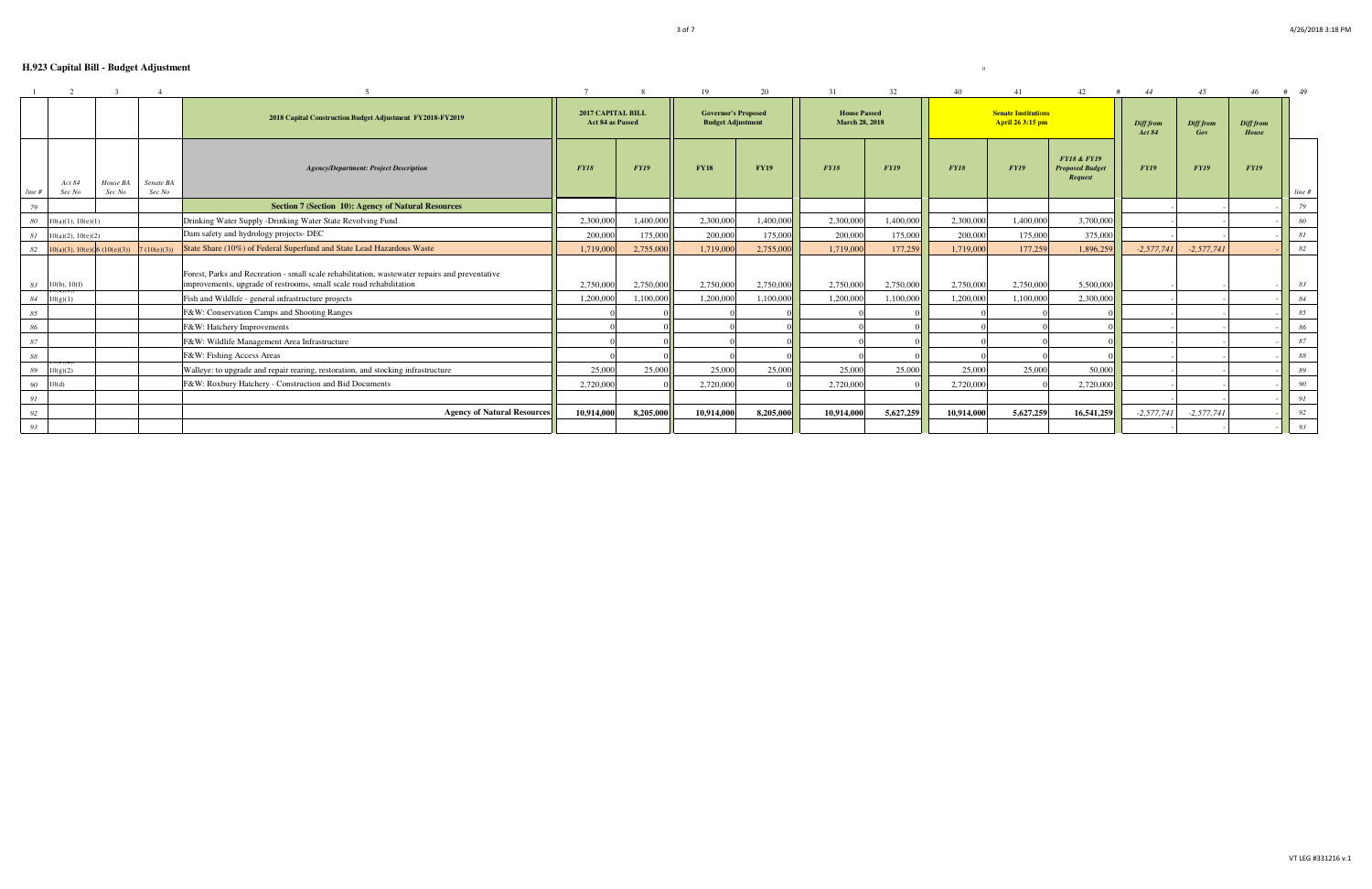|                                                    |                                                           |                     |                                                                                                                                                                                                                               |                        |                                                        | 19                     | 20                                           |                        | 32                     |                                                | 41                     | 42                                                          |                  | 45                        |             | 49       |
|----------------------------------------------------|-----------------------------------------------------------|---------------------|-------------------------------------------------------------------------------------------------------------------------------------------------------------------------------------------------------------------------------|------------------------|--------------------------------------------------------|------------------------|----------------------------------------------|------------------------|------------------------|------------------------------------------------|------------------------|-------------------------------------------------------------|------------------|---------------------------|-------------|----------|
|                                                    | 2018 Capital Construction Budget Adjustment FY2018-FY2019 |                     | 2017 CAPITAL BILL<br>Act 84 as Passed                                                                                                                                                                                         |                        | <b>Governor's Proposed</b><br><b>Budget Adjustment</b> |                        | <b>House Passed</b><br><b>March 28, 2018</b> |                        |                        | <b>Senate Institutions</b><br>April 26 3:15 pm |                        | Diff from<br><b>Act 84</b>                                  | Diff from<br>Gov | Diff from<br><b>House</b> |             |          |
| Act 84<br>Sec No<br>line #                         | House BA<br>Sec No                                        | Senate BA<br>Sec No | <b>Agency/Department: Project Description</b>                                                                                                                                                                                 | <b>FY18</b>            | <b>FY19</b>                                            | <b>FY18</b>            | <b>FY19</b>                                  | <b>FY18</b>            | <b>FY19</b>            | <b>FY18</b>                                    | <b>FY19</b>            | <b>FY18 &amp; FY19</b><br><b>Proposed Budget</b><br>Request | <b>FY19</b>      | <b>FY19</b>               | <b>FY19</b> | line #   |
| 79                                                 |                                                           |                     | <b>Section 7 (Section 10): Agency of Natural Resources</b>                                                                                                                                                                    |                        |                                                        |                        |                                              |                        |                        |                                                |                        |                                                             |                  |                           |             | 79       |
| 80<br>10(a)(1), 10(e)(1)                           |                                                           |                     | Drinking Water Supply -Drinking Water State Revolving Fund                                                                                                                                                                    | 2,300,000              | 1,400,000                                              | 2,300,000              | 1,400,000                                    | 2,300,000              | 1,400,000              | 2,300,000                                      | 1,400,000              | 3,700,000                                                   |                  |                           |             | 80       |
| 81<br>$10(a)(2)$ , $10(e)(2)$                      |                                                           |                     | Dam safety and hydrology projects- DEC                                                                                                                                                                                        | 200,000                | 175,000                                                | 200,000                | 175,000                                      | 200,000                | 175,000                | 200,000                                        | 175,000                | 375,000                                                     |                  |                           |             | 81       |
| 82                                                 | $10(a)(3), 10(e)(6(10(e)(3)))$ 7 (10(e)(3))               |                     | State Share (10%) of Federal Superfund and State Lead Hazardous Waste                                                                                                                                                         | 1,719,000              | 2,755,000                                              | 1,719,000              | 2,755,000                                    | 1,719,000              | 177,259                | 1,719,000                                      | 177,259                | 1,896,259                                                   | $-2,577,741$     | $-2,577,741$              |             | 82       |
| $10(b)$ , $10(f)$<br>83<br>84<br>10(g)(1)          |                                                           |                     | Forest, Parks and Recreation - small scale rehabilitation, was tewater repairs and preventative<br>improvements, upgrade of restrooms, small scale road rehabilitation<br>Fish and Wildlife - general infrastructure projects | 2,750,000<br>1,200,000 | 2,750,000<br>1,100,000                                 | 2.750,000<br>1.200.000 | 2,750,000<br>1.100.000                       | 2,750,000<br>1,200,000 | 2,750,000<br>1,100,000 | 2,750,000<br>1.200.000                         | 2,750,000<br>1.100.000 | 5.500,000<br>2,300,000                                      |                  |                           |             | 83<br>84 |
| 85                                                 |                                                           |                     | F&W: Conservation Camps and Shooting Ranges                                                                                                                                                                                   |                        |                                                        |                        |                                              |                        |                        |                                                |                        |                                                             |                  |                           |             | 85       |
| 86                                                 |                                                           |                     | F&W: Hatchery Improvements                                                                                                                                                                                                    |                        |                                                        |                        |                                              |                        |                        |                                                |                        |                                                             |                  |                           |             | 86       |
| 87                                                 |                                                           |                     | F&W: Wildlife Management Area Infrastructure                                                                                                                                                                                  |                        |                                                        |                        |                                              |                        |                        |                                                |                        |                                                             |                  |                           |             | 87       |
| 88                                                 |                                                           |                     | F&W: Fishing Access Areas                                                                                                                                                                                                     |                        |                                                        |                        |                                              |                        |                        |                                                |                        |                                                             |                  |                           |             | 88       |
| $\sigma(\mathbf{C})(\mathbf{Z})$<br>10(g)(2)<br>89 |                                                           |                     | Walleye: to upgrade and repair rearing, restoration, and stocking infrastructure                                                                                                                                              | 25,000                 | 25,000                                                 | 25,000                 | 25,000                                       | 25,000                 | 25,000                 | 25,000                                         | 25,000                 | 50,000                                                      |                  |                           |             | 89       |
| 90<br>10(d)                                        |                                                           |                     | F&W: Roxbury Hatchery - Construction and Bid Documents                                                                                                                                                                        | 2,720,000              |                                                        | 2,720,000              |                                              | 2,720,000              |                        | 2,720,000                                      |                        | 2,720,000                                                   |                  |                           |             | 90       |
| 91                                                 |                                                           |                     |                                                                                                                                                                                                                               |                        |                                                        |                        |                                              |                        |                        |                                                |                        |                                                             |                  |                           |             | 91       |
| 92                                                 |                                                           |                     | <b>Agency of Natural Resources</b>                                                                                                                                                                                            | 10,914,000             | 8,205,000                                              | 10.914.000             | 8,205,000                                    | 10,914,00              | 5,627,259              | 10.914.000                                     | 5,627,259              | 16,541,259                                                  | $-2,577,741$     | $-2,577,741$              |             | 92       |
| 93                                                 |                                                           |                     |                                                                                                                                                                                                                               |                        |                                                        |                        |                                              |                        |                        |                                                |                        |                                                             |                  |                           |             | 93       |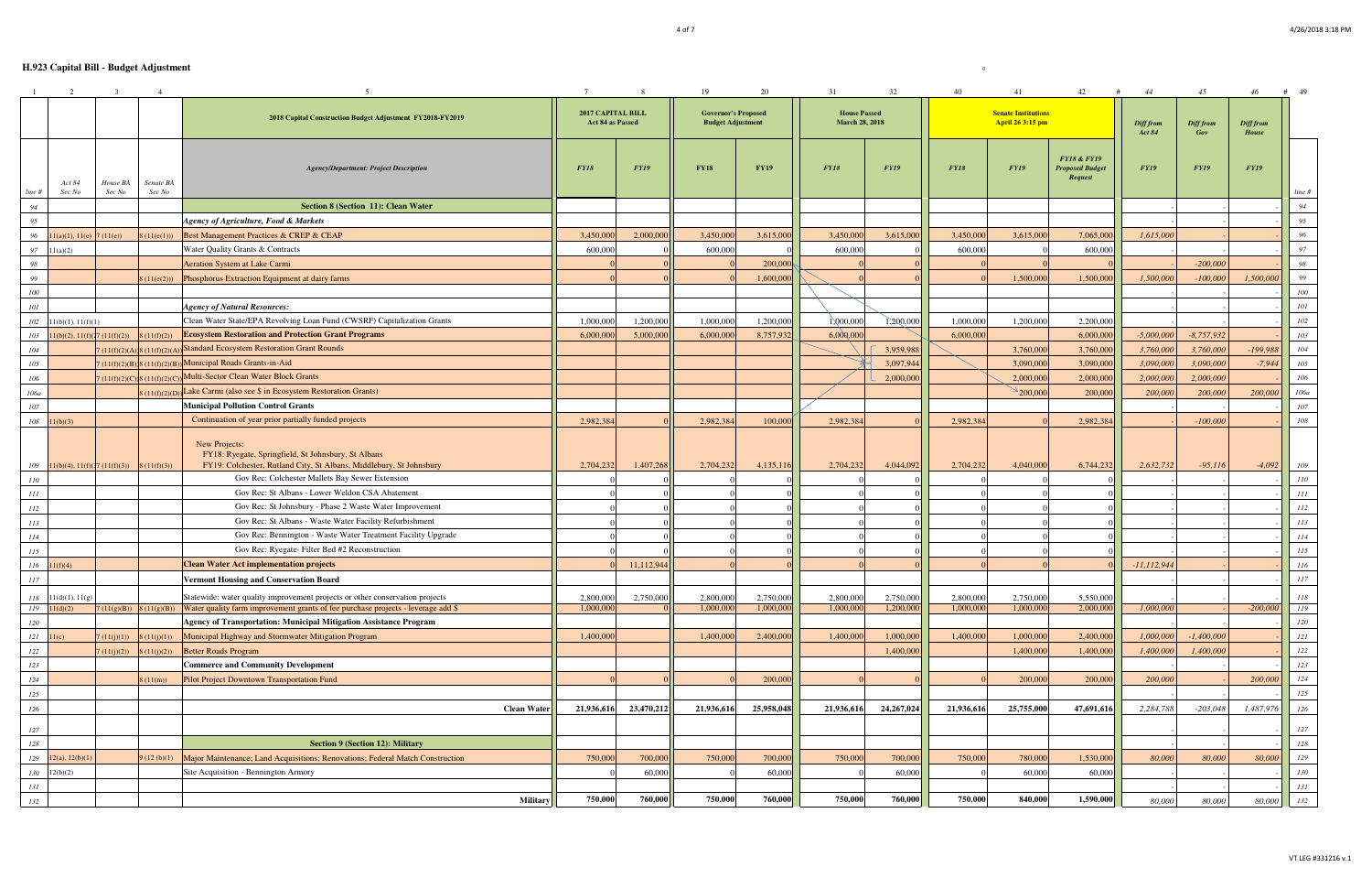|                  | 2                                  | $\overline{\mathbf{3}}$ | $\overline{4}$      |                                                                                                                                             |                    | $7\overline{ }$                       | 8           | 19                                                     | 20          | 31                                           | 32          | 40          | 41                                             | 42<br>#                                                     | 44                         | 45                      | 46                        | # 49       |
|------------------|------------------------------------|-------------------------|---------------------|---------------------------------------------------------------------------------------------------------------------------------------------|--------------------|---------------------------------------|-------------|--------------------------------------------------------|-------------|----------------------------------------------|-------------|-------------|------------------------------------------------|-------------------------------------------------------------|----------------------------|-------------------------|---------------------------|------------|
|                  |                                    |                         |                     | 2018 Capital Construction Budget Adjustment FY2018-FY2019                                                                                   |                    | 2017 CAPITAL BILL<br>Act 84 as Passed |             | <b>Governor's Proposed</b><br><b>Budget Adjustment</b> |             | <b>House Passed</b><br><b>March 28, 2018</b> |             |             | <b>Senate Institutions</b><br>April 26 3:15 pm |                                                             | Diff from<br><b>Act 84</b> | <b>Diff from</b><br>Gov | Diff from<br><b>House</b> |            |
| line#            | Act 84<br>Sec No                   | House BA<br>Sec No      | Senate BA<br>Sec No | <b>Agency/Department: Project Description</b>                                                                                               |                    | <b>FY18</b>                           | <b>FY19</b> | <b>FY18</b>                                            | <b>FY19</b> | <b>FY18</b>                                  | <b>FY19</b> | <b>FY18</b> | <b>FY19</b>                                    | <b>FY18 &amp; FY19</b><br><b>Proposed Budget</b><br>Request | <b>FY19</b>                | <b>FY19</b>             | <b>FY19</b>               | line #     |
| 94               |                                    |                         |                     | Section 8 (Section 11): Clean Water                                                                                                         |                    |                                       |             |                                                        |             |                                              |             |             |                                                |                                                             |                            |                         |                           | 94         |
| 95               |                                    |                         |                     | Agency of Agriculture, Food & Markets                                                                                                       |                    |                                       |             |                                                        |             |                                              |             |             |                                                |                                                             |                            |                         |                           | 95         |
| 96               | 11(a)(1), 11(e)                    | (11(e))                 | 3(11(e(1)))         | Best Management Practices & CREP & CEAP                                                                                                     |                    | 3,450,000                             | 2,000,000   | 3,450,000                                              | 3,615,000   | 3,450,000                                    | 3,615,000   | 3,450,000   | 3,615,000                                      | 7,065,000                                                   | 1,615,000                  |                         |                           | 96         |
| 97               | 11(a)(2)                           |                         |                     | Water Quality Grants & Contracts                                                                                                            |                    | 600,000                               |             | 600,000                                                |             | 600,000                                      |             | 600,000     |                                                | 600,000                                                     |                            |                         |                           | 97         |
| 98               |                                    |                         |                     | <b>Aeration System at Lake Carmi</b>                                                                                                        |                    |                                       |             |                                                        | 200,000     |                                              |             |             |                                                |                                                             |                            | $-200,000$              |                           | 98         |
| 99               |                                    |                         | 3(11(e(2)))         | Phosphorus Extraction Equipment at dairy farms                                                                                              |                    |                                       |             |                                                        | 1,600,000   |                                              |             |             | 1,500,000                                      | 1,500,000                                                   | 1,500,000                  | $-100,000$              | 1,500,000                 | 99         |
| 100              |                                    |                         |                     |                                                                                                                                             |                    |                                       |             |                                                        |             |                                              |             |             |                                                |                                                             |                            |                         |                           | 100        |
| 101              |                                    |                         |                     | <b>Agency of Natural Resources:</b>                                                                                                         |                    |                                       |             |                                                        |             |                                              |             |             |                                                |                                                             |                            |                         |                           | 101        |
| 102              | 11(b)(1), 11(f)(1)                 |                         |                     | Clean Water State/EPA Revolving Loan Fund (CWSRF) Capitalization Grants                                                                     |                    | 1,000,000                             | 1,200,000   | 1,000,000                                              | 1,200,000   | 1,000,000                                    | 1,200,000   | 1,000,000   | 1,200,000                                      | 2,200,000                                                   |                            |                         |                           | 102        |
| 103              | 11(b)(2), 11(f)                    | (11(f)(2))              | 8(11(f)(2))         | <b>Ecosystem Restoration and Protection Grant Programs</b>                                                                                  |                    | 6,000,000                             | 5,000,000   | 6,000,000                                              | 8,757,932   | 6,000,00                                     |             | 6,000,000   |                                                | 6,000,000                                                   | $-5,000,000$               | $-8,757,932$            |                           | 103        |
| 104              |                                    | (11(f)(2)(A             |                     | ) 8 (11(f)(2)(A)) Standard Ecosystem Restoration Grant Rounds                                                                               |                    |                                       |             |                                                        |             |                                              | 3,959,988   |             | 3,760,000                                      | 3,760,000                                                   | 3,760,000                  | 3,760,000               | $-199,988$                | 104        |
| 105              |                                    |                         |                     | $(11(f)(2)(B))$ 8 (11(f)(2)(B)) Municipal Roads Grants-in-Aid                                                                               |                    |                                       |             |                                                        |             |                                              | 3,097,944   |             | 3,090,000                                      | 3,090,000                                                   | 3,090,000                  | 3,090,000               | $-7,944$                  | 105        |
| 106              |                                    | (11(f)(2)(C)            |                     | 8 (11(f)(2)(C)) Multi-Sector Clean Water Block Grants                                                                                       |                    |                                       |             |                                                        |             |                                              | 2,000,000   |             | 2,000,000                                      | 2,000,000                                                   | 2,000,000                  | 2,000,000               |                           | 106        |
| 106a             |                                    |                         |                     | $(11(f)(2)(D))$ Lake Carmi (also see \$ in Ecosystem Restoration Grants)                                                                    |                    |                                       |             |                                                        |             |                                              |             |             | $\geq$ 200,000                                 | 200,000                                                     | 200,000                    | 200,000                 | 200,000                   | 106a       |
| 107              |                                    |                         |                     | <b>Municipal Pollution Control Grants</b>                                                                                                   |                    |                                       |             |                                                        |             |                                              |             |             |                                                |                                                             |                            |                         |                           | 107        |
|                  | $108$ $11(b)(3)$                   |                         |                     | Continuation of year prior partially funded projects                                                                                        |                    | 2,982,38                              |             | 2,982,384                                              | 100,000     | 2,982,384                                    |             | 2,982,384   |                                                | 2,982,384                                                   |                            | $-100,000$              |                           | 108        |
| 109              | $11(b)(4)$ , $11(f)(17(11(f)(3)))$ |                         | (11(f)(3))          | New Projects:<br>FY18: Ryegate, Springfield, St Johnsbury, St Albans<br>FY19: Colchester, Rutland City, St Albans, Middlebury, St Johnsbury |                    | 2,704,232                             | 1,407,268   | 2,704,232                                              | 4,135,116   | 2,704,232                                    | 4,044,092   | 2,704,232   | 4,040,000                                      | 6,744,232                                                   | 2,632,732                  | $-95,116$               | $-4,092$                  | 109        |
| 110              |                                    |                         |                     | Gov Rec: Colchester Mallets Bay Sewer Extension                                                                                             |                    |                                       |             |                                                        |             |                                              |             |             |                                                |                                                             |                            |                         |                           | 110        |
| 111              |                                    |                         |                     | Gov Rec: St Albans - Lower Weldon CSA Abatement                                                                                             |                    |                                       |             |                                                        |             |                                              |             |             |                                                |                                                             |                            |                         |                           | 111        |
| 112              |                                    |                         |                     | Gov Rec: St Johnsbury - Phase 2 Waste Water Improvement                                                                                     |                    |                                       |             |                                                        |             |                                              |             |             |                                                |                                                             |                            |                         |                           | 112        |
| 113              |                                    |                         |                     | Gov Rec: St Albans - Waste Water Facility Refurbishment                                                                                     |                    |                                       |             |                                                        |             |                                              |             |             |                                                |                                                             |                            |                         |                           | 113        |
| 114              |                                    |                         |                     | Gov Rec: Bennington - Waste Water Treatment Facility Upgrade                                                                                |                    |                                       |             |                                                        |             |                                              |             |             |                                                |                                                             |                            |                         |                           | 114        |
| 115              |                                    |                         |                     | Gov Rec: Ryegate-Filter Bed #2 Reconstruction                                                                                               |                    |                                       |             |                                                        |             |                                              |             |             |                                                |                                                             |                            |                         |                           | 115        |
| $116$ $11(f)(4)$ |                                    |                         |                     | <b>Clean Water Act implementation projects</b>                                                                                              |                    |                                       | 11,112,944  |                                                        |             |                                              |             |             |                                                |                                                             | $-11, 112, 944$            |                         |                           | 116        |
| 117              |                                    |                         |                     | <b>Vermont Housing and Conservation Board</b>                                                                                               |                    |                                       |             |                                                        |             |                                              |             |             |                                                |                                                             |                            |                         |                           | 117        |
|                  | $118$ 11(d)(1), 11(g)              |                         |                     | Statewide: water quality improvement projects or other conservation projects                                                                |                    | 2,800,000                             | 2,750,000   | 2,800,000                                              | 2,750,000   | 2,800,000                                    | 2,750,000   | 2,800,000   | 2,750,000                                      | 5,550,000                                                   |                            |                         |                           | 118        |
| $119$ $11(d)(2)$ |                                    | (11(g)(B))              |                     | $8(11(g)(B))$ Water quality farm improvement grants of fee purchase projects - leverage add \$                                              |                    | 1,000,000                             |             | 1,000,000                                              | 1,000,000   | 1,000,000                                    | 1,200,000   | 1,000,000   | 1,000,000                                      | 2,000,000                                                   | 1,000,000                  |                         | $-200,000$                | <i>119</i> |
| 120              |                                    |                         |                     | Agency of Transportation: Municipal Mitigation Assistance Program                                                                           |                    |                                       |             |                                                        |             |                                              |             |             |                                                |                                                             |                            |                         |                           | 120        |
| 121              | 11(c)                              | (11(i)(1))              | 8(11(j)(1))         | Municipal Highway and Stormwater Mitigation Program                                                                                         |                    | 1,400,000                             |             | 1,400,000                                              | 2,400,000   | 1,400,000                                    | 1,000,000   | 1,400,000   | 1,000,000                                      | 2,400,000                                                   | 1,000,000                  | $-1,400,000$            |                           | 121        |
| 122              |                                    | (11(i)(2))              | 8(11(j)(2))         | Better Roads Program                                                                                                                        |                    |                                       |             |                                                        |             |                                              | 1,400,000   |             | 1,400,000                                      | 1,400,000                                                   | 1,400,000                  | 1,400,000               |                           | 122        |
| 123              |                                    |                         |                     | <b>Commerce and Community Development</b>                                                                                                   |                    |                                       |             |                                                        |             |                                              |             |             |                                                |                                                             |                            |                         |                           | 123        |
| 124              |                                    |                         | 3(11(m))            | Pilot Project Downtown Transportation Fund                                                                                                  |                    |                                       |             |                                                        | 200,000     |                                              |             |             | 200,000                                        | 200,000                                                     | 200,000                    |                         | 200,000                   | 124        |
| 125              |                                    |                         |                     |                                                                                                                                             |                    |                                       |             |                                                        |             |                                              |             |             |                                                |                                                             |                            |                         |                           | 125        |
| 126              |                                    |                         |                     |                                                                                                                                             | <b>Clean Water</b> | 21,936,616                            | 23,470,212  | 21,936,616                                             | 25,958,048  | 21,936,616                                   | 24,267,024  | 21,936,616  | 25,755,000                                     | 47,691,616                                                  | 2,284,788                  | $-203,048$              | 1,487,976                 | 126        |
| 127              |                                    |                         |                     |                                                                                                                                             |                    |                                       |             |                                                        |             |                                              |             |             |                                                |                                                             |                            |                         |                           | 127        |
| 128              |                                    |                         |                     | <b>Section 9 (Section 12): Military</b>                                                                                                     |                    |                                       |             |                                                        |             |                                              |             |             |                                                |                                                             |                            |                         |                           | 128        |
| 129              | 12(a), 12(b)(1)                    |                         | 9(12(b)(1))         | Major Maintenance; Land Acquisitions; Renovations; Federal Match Construction                                                               |                    | 750,000                               | 700,000     | 750,000                                                | 700,000     | 750,000                                      | 700,000     | 750,000     | 780,000                                        | 1,530,000                                                   | 80,000                     | 80,000                  | 80,000                    | 129        |
| 130              | 12(b)(2)                           |                         |                     | Site Acquisition - Bennington Armory                                                                                                        |                    |                                       | 60,000      |                                                        | 60,000      |                                              | 60,000      |             | 60,000                                         | 60,000                                                      |                            |                         |                           | 130        |
| 131              |                                    |                         |                     |                                                                                                                                             |                    |                                       |             |                                                        |             |                                              |             |             |                                                |                                                             |                            |                         |                           | 131        |
| 132              |                                    |                         |                     |                                                                                                                                             | Military           | 750,000                               | 760,000     | 750,000                                                | 760,000     | 750,000                                      | 760,000     | 750,000     | 840,000                                        | 1,590,000                                                   | 80,000                     | 80,000                  | 80,000                    | 132        |
|                  |                                    |                         |                     |                                                                                                                                             |                    |                                       |             |                                                        |             |                                              |             |             |                                                |                                                             |                            |                         |                           |            |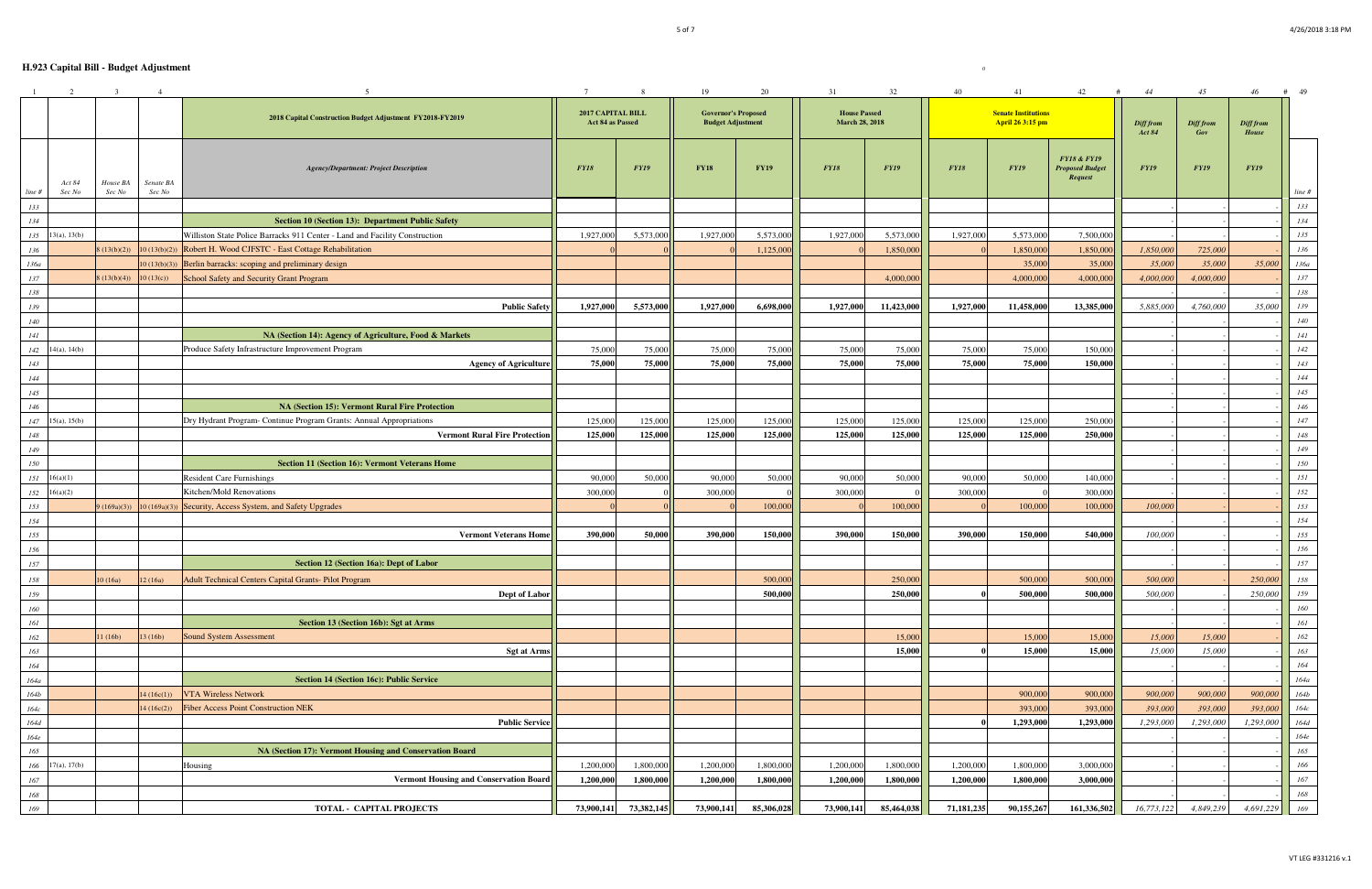|            | 2                    | $\overline{\mathbf{3}}$ | $\overline{4}$ |                                                                                                             |                                       | 8 <sup>8</sup> | 19                                                     | 20          | 31                                           | 32          | 40          | 41                                             | 42<br>#                                                            | 44                         | 45                      | 46                        | $#$ 49     |
|------------|----------------------|-------------------------|----------------|-------------------------------------------------------------------------------------------------------------|---------------------------------------|----------------|--------------------------------------------------------|-------------|----------------------------------------------|-------------|-------------|------------------------------------------------|--------------------------------------------------------------------|----------------------------|-------------------------|---------------------------|------------|
|            |                      |                         |                | 2018 Capital Construction Budget Adjustment FY2018-FY2019                                                   | 2017 CAPITAL BILL<br>Act 84 as Passed |                | <b>Governor's Proposed</b><br><b>Budget Adjustment</b> |             | <b>House Passed</b><br><b>March 28, 2018</b> |             |             | <b>Senate Institutions</b><br>April 26 3:15 pm |                                                                    | Diff from<br><b>Act 84</b> | <b>Diff from</b><br>Gov | Diff from<br><b>House</b> |            |
|            | Act 84               | House BA                | Senate BA      | <b>Agency/Department: Project Description</b>                                                               | <b>FY18</b>                           | <b>FY19</b>    | <b>FY18</b>                                            | <b>FY19</b> | <b>FY18</b>                                  | <b>FY19</b> | <b>FY18</b> | <b>FY19</b>                                    | <b>FY18 &amp; FY19</b><br><b>Proposed Budget</b><br><b>Request</b> | <b>FY19</b>                | <b>FY19</b>             | <b>FY19</b>               |            |
| line#      | Sec No               | Sec No                  | Sec No         |                                                                                                             |                                       |                |                                                        |             |                                              |             |             |                                                |                                                                    |                            |                         |                           | line #     |
| 133        |                      |                         |                |                                                                                                             |                                       |                |                                                        |             |                                              |             |             |                                                |                                                                    |                            |                         |                           | 133        |
| 134        |                      |                         |                | Section 10 (Section 13): Department Public Safety                                                           |                                       |                |                                                        |             |                                              |             |             |                                                |                                                                    |                            |                         |                           | 134        |
|            | $135$ 13(a), 13(b)   |                         |                | Williston State Police Barracks 911 Center - Land and Facility Construction                                 | 1,927,000                             | 5,573,000      | 1,927,000                                              | 5,573,000   | 1,927,000                                    | 5,573,000   | 1,927,000   | 5,573,000                                      | 7,500,000                                                          |                            |                         |                           | 135        |
| 136        |                      | (13(b)(2))              |                | 10 (13(b)(2)) Robert H. Wood CJFSTC - East Cottage Rehabilitation                                           |                                       |                |                                                        | 1,125,000   |                                              | 1,850,000   |             | 1,850,000                                      | 1,850,000                                                          | 1,850,000                  | 725,000                 |                           | 136        |
| 136a       |                      |                         |                | $10(13(b)(3))$ Berlin barracks: scoping and preliminary design                                              |                                       |                |                                                        |             |                                              |             |             | 35,000                                         | 35,000                                                             | 35,000                     | 35,000                  | 35,000                    | $136a$     |
| 137        |                      | (13(b)(4))              | 10(13(c))      | School Safety and Security Grant Program                                                                    |                                       |                |                                                        |             |                                              | 4,000,000   |             | 4,000,000                                      | 4,000,000                                                          | 4,000,000                  | 4,000,000               |                           | $137\,$    |
| 138        |                      |                         |                |                                                                                                             |                                       |                |                                                        |             |                                              |             |             |                                                |                                                                    |                            |                         |                           | 138        |
| 139        |                      |                         |                | <b>Public Safety</b>                                                                                        | 1,927,000                             | 5,573,000      | 1,927,000                                              | 6,698,000   | 1,927,000                                    | 11,423,000  | 1,927,000   | 11,458,000                                     | 13,385,000                                                         | 5,885,000                  | 4,760,000               | 35,000                    | 139        |
| 140        |                      |                         |                |                                                                                                             |                                       |                |                                                        |             |                                              |             |             |                                                |                                                                    |                            |                         |                           | 140        |
| 141        |                      |                         |                | NA (Section 14): Agency of Agriculture, Food & Markets<br>Produce Safety Infrastructure Improvement Program | 75,000                                | 75,000         | 75,000                                                 | 75,000      | 75,000                                       | 75,000      | 75,000      | 75,000                                         | 150,000                                                            |                            |                         |                           | 141        |
|            | $142$ 14(a), 14(b)   |                         |                | <b>Agency of Agriculture</b>                                                                                | 75,000                                |                | 75,000                                                 | 75,000      | 75,000                                       | 75,000      | 75,000      | 75,000                                         |                                                                    |                            |                         |                           | $\it 142$  |
| 143<br>144 |                      |                         |                |                                                                                                             |                                       | 75,000         |                                                        |             |                                              |             |             |                                                | 150,000                                                            |                            |                         |                           | 143        |
| 145        |                      |                         |                |                                                                                                             |                                       |                |                                                        |             |                                              |             |             |                                                |                                                                    |                            |                         |                           | 144<br>145 |
| 146        |                      |                         |                | <b>NA (Section 15): Vermont Rural Fire Protection</b>                                                       |                                       |                |                                                        |             |                                              |             |             |                                                |                                                                    |                            |                         |                           | 146        |
|            | $147$ 15(a), 15(b)   |                         |                | Dry Hydrant Program- Continue Program Grants: Annual Appropriations                                         | 125,000                               | 125,000        | 125,000                                                | 125,000     | 125,000                                      | 125,000     | 125,000     | 125,000                                        | 250,000                                                            |                            |                         |                           | 147        |
| 148        |                      |                         |                | <b>Vermont Rural Fire Protection</b>                                                                        | 125,000                               | 125,000        | 125,000                                                | 125,000     | 125,000                                      | 125,000     | 125,000     | 125,000                                        | 250,000                                                            |                            |                         |                           | $148\,$    |
| 149        |                      |                         |                |                                                                                                             |                                       |                |                                                        |             |                                              |             |             |                                                |                                                                    |                            |                         |                           | 149        |
| 150        |                      |                         |                | <b>Section 11 (Section 16): Vermont Veterans Home</b>                                                       |                                       |                |                                                        |             |                                              |             |             |                                                |                                                                    |                            |                         |                           | $\it 150$  |
|            | $151 \quad 16(a)(1)$ |                         |                | <b>Resident Care Furnishings</b>                                                                            | 90,000                                | 50,000         | 90,000                                                 | 50,000      | 90,000                                       | 50,000      | 90,000      | 50,000                                         | 140,000                                                            |                            |                         |                           | 151        |
|            | $152 \quad 16(a)(2)$ |                         |                | Kitchen/Mold Renovations                                                                                    | 300,000                               |                | 300,000                                                |             | 300,000                                      |             | 300,000     |                                                | 300,000                                                            |                            |                         |                           | 152        |
| 153        |                      | (169a)(3))              | 10(169a)(3)    | Security, Access System, and Safety Upgrades                                                                |                                       |                |                                                        | 100,000     |                                              | 100,000     |             | 100,000                                        | 100,000                                                            | 100,000                    |                         |                           | 153        |
| 154        |                      |                         |                |                                                                                                             |                                       |                |                                                        |             |                                              |             |             |                                                |                                                                    |                            |                         |                           | 154        |
| 155        |                      |                         |                | <b>Vermont Veterans Home</b>                                                                                | 390,000                               | 50,000         | 390,000                                                | 150,000     | 390,000                                      | 150,000     | 390,000     | 150,000                                        | 540,000                                                            | 100,000                    |                         |                           | 155        |
| 156        |                      |                         |                |                                                                                                             |                                       |                |                                                        |             |                                              |             |             |                                                |                                                                    |                            |                         |                           | $156\,$    |
| 157        |                      |                         |                | Section 12 (Section 16a): Dept of Labor                                                                     |                                       |                |                                                        |             |                                              |             |             |                                                |                                                                    |                            |                         |                           | $157\,$    |
| 158        |                      | 10(16a)                 | 12(16a)        | Adult Technical Centers Capital Grants- Pilot Program                                                       |                                       |                |                                                        | 500,000     |                                              | 250,000     |             | 500,000                                        | 500,000                                                            | 500,000                    |                         | 250,000                   | 158        |
| 159        |                      |                         |                | Dept of Labor                                                                                               |                                       |                |                                                        | 500,000     |                                              | 250,000     |             | 500,000                                        | 500,000                                                            | 500,000                    |                         | 250,000                   | 159        |
| 160        |                      |                         |                |                                                                                                             |                                       |                |                                                        |             |                                              |             |             |                                                |                                                                    |                            |                         |                           | 160        |
| 161        |                      |                         |                | Section 13 (Section 16b): Sgt at Arms                                                                       |                                       |                |                                                        |             |                                              |             |             |                                                |                                                                    |                            |                         |                           | 161        |
| 162        |                      | 1(16b)                  | 13(16b)        | <b>Sound System Assessment</b>                                                                              |                                       |                |                                                        |             |                                              | 15,000      |             | 15,000                                         | 15,000                                                             | 15,000                     | 15,000                  |                           | $162\,$    |
| 163        |                      |                         |                | <b>Sgt at Arms</b>                                                                                          |                                       |                |                                                        |             |                                              | 15,000      |             | 15,000                                         | 15,000                                                             | 15,000                     | 15,000                  |                           | 163        |
| 164        |                      |                         |                |                                                                                                             |                                       |                |                                                        |             |                                              |             |             |                                                |                                                                    |                            |                         |                           | $164\,$    |
| 164a       |                      |                         |                | Section 14 (Section 16c): Public Service                                                                    |                                       |                |                                                        |             |                                              |             |             |                                                |                                                                    |                            |                         |                           | 164a       |
| 164b       |                      |                         | 14(16c(1))     | VTA Wireless Network                                                                                        |                                       |                |                                                        |             |                                              |             |             | 900,000                                        | 900,000                                                            | 900,000                    | 900,000                 | 900,000                   | $164b$     |
| $164c$     |                      |                         | 4(16c(2))      | <b>Fiber Access Point Construction NEK</b>                                                                  |                                       |                |                                                        |             |                                              |             |             | 393,000                                        | 393,000                                                            | 393,000                    | 393,000                 | 393,000                   | $164c$     |
| 164d       |                      |                         |                | <b>Public Service</b>                                                                                       |                                       |                |                                                        |             |                                              |             |             | 1,293,000                                      | 1,293,000                                                          | 1,293,000                  | 1,293,000               | 1,293,000                 | $164d$     |
| $164e$     |                      |                         |                |                                                                                                             |                                       |                |                                                        |             |                                              |             |             |                                                |                                                                    |                            |                         |                           | $164e$     |
| 165        |                      |                         |                | NA (Section 17): Vermont Housing and Conservation Board                                                     |                                       |                |                                                        |             |                                              |             |             |                                                |                                                                    |                            |                         |                           | $165\,$    |
| 166        | 17(a), 17(b)         |                         |                | Housing                                                                                                     | 1,200,000                             | 1,800,000      | 1,200,000                                              | 1,800,000   | 1,200,000                                    | 1,800,000   | 1,200,000   | 1,800,000                                      | 3,000,000                                                          |                            |                         |                           | 166        |
| $167\,$    |                      |                         |                | <b>Vermont Housing and Conservation Board</b>                                                               | 1,200,000                             | 1,800,000      | 1,200,000                                              | 1,800,000   | 1,200,000                                    | 1,800,000   | 1,200,000   | 1,800,000                                      | 3,000,000                                                          |                            |                         |                           | $167\,$    |
| 168        |                      |                         |                |                                                                                                             |                                       |                |                                                        |             |                                              |             |             |                                                |                                                                    |                            |                         |                           | 168        |
| 169        |                      |                         |                | <b>TOTAL - CAPITAL PROJECTS</b>                                                                             | 73,900,141                            | 73,382,145     | 73,900,141                                             | 85,306,028  | 73,900,141                                   | 85,464,038  | 71,181,235  | 90,155,267                                     | 161,336,502                                                        | 16,773,122                 | 4,849,239               | 4,691,229                 | 169        |
|            |                      |                         |                |                                                                                                             |                                       |                |                                                        |             |                                              |             |             |                                                |                                                                    |                            |                         |                           |            |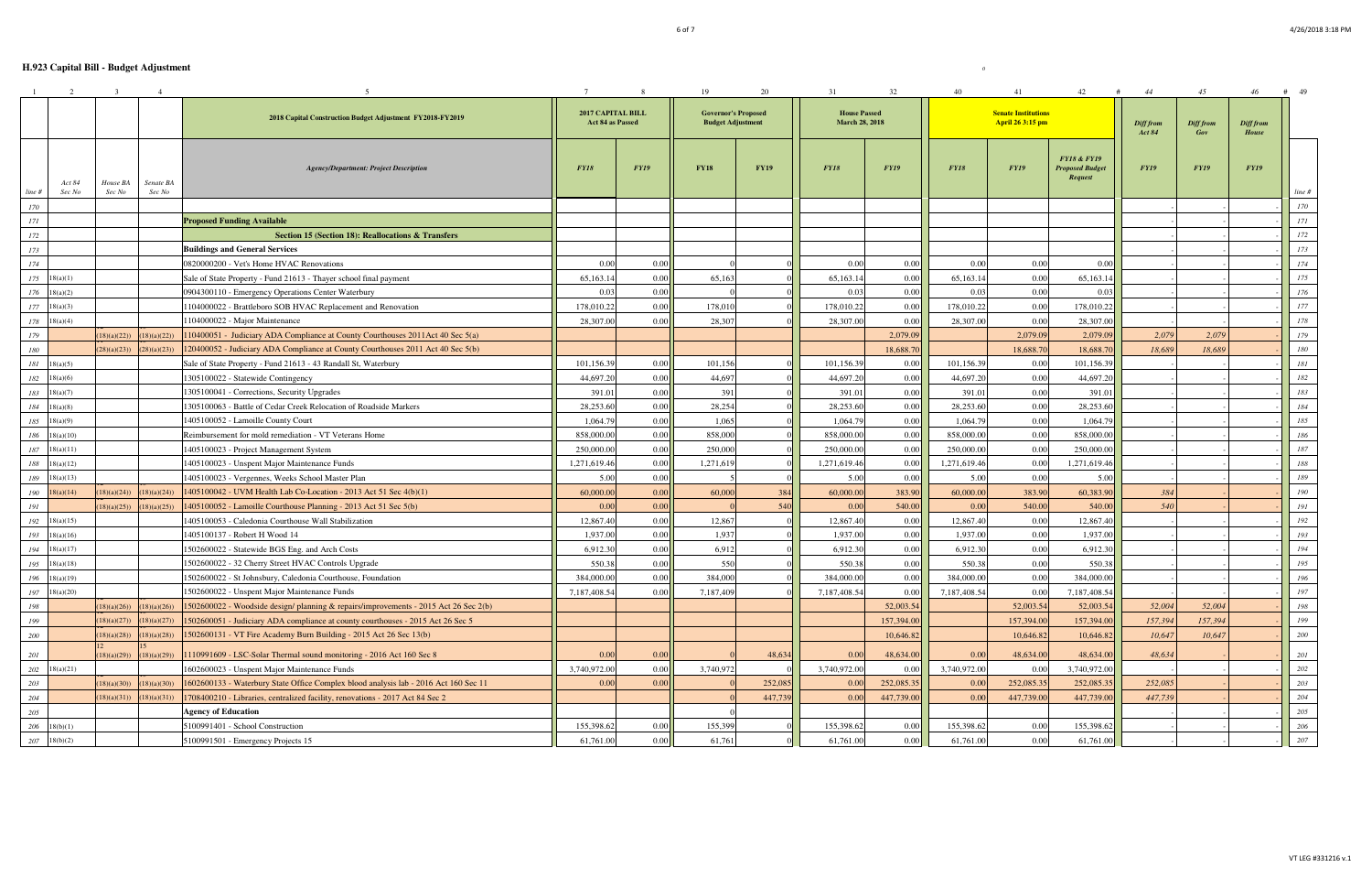|            | 2                     | -3          | $\overline{4}$ |                                                                                      |                                              | -8          | 19          | 20                                                     | 31           | 32                                           | 40           | 41          | 42                                                          | 44                         | 45               | 46                 | 49<br>#          |
|------------|-----------------------|-------------|----------------|--------------------------------------------------------------------------------------|----------------------------------------------|-------------|-------------|--------------------------------------------------------|--------------|----------------------------------------------|--------------|-------------|-------------------------------------------------------------|----------------------------|------------------|--------------------|------------------|
|            |                       |             |                | 2018 Capital Construction Budget Adjustment FY2018-FY2019                            | <b>2017 CAPITAL BILL</b><br>Act 84 as Passed |             |             | <b>Governor's Proposed</b><br><b>Budget Adjustment</b> |              | <b>House Passed</b><br><b>March 28, 2018</b> |              |             | <b>Senate Institutions</b><br>April 26 3:15 pm              | Diff from<br><b>Act 84</b> | Diff from<br>Gov | Diff from<br>House |                  |
|            | Act 84                | House BA    | Senate BA      | <b>Agency/Department: Project Description</b>                                        | <b>FY18</b>                                  | <b>FY19</b> | <b>FY18</b> | <b>FY19</b>                                            | <b>FY18</b>  | <b>FY19</b>                                  | <b>FY18</b>  | <b>FY19</b> | <b>FY18 &amp; FY19</b><br><b>Proposed Budget</b><br>Request | <b>FY19</b>                | <b>FY19</b>      | <b>FY19</b>        |                  |
| line #     | Sec No                | Sec No      | Sec No         |                                                                                      |                                              |             |             |                                                        |              |                                              |              |             |                                                             |                            |                  |                    | line #           |
| 170<br>171 |                       |             |                | <b>Proposed Funding Available</b>                                                    |                                              |             |             |                                                        |              |                                              |              |             |                                                             |                            |                  |                    | $\it 170$<br>171 |
| 172        |                       |             |                | <b>Section 15 (Section 18): Reallocations &amp; Transfers</b>                        |                                              |             |             |                                                        |              |                                              |              |             |                                                             |                            |                  |                    | 172              |
| 173        |                       |             |                | <b>Buildings and General Services</b>                                                |                                              |             |             |                                                        |              |                                              |              |             |                                                             |                            |                  |                    | 173              |
| 174        |                       |             |                | 0820000200 - Vet's Home HVAC Renovations                                             | 0.00                                         | 0.00        |             |                                                        | 0.00         | 0.00                                         | 0.00         | 0.00        | 0.00                                                        |                            |                  |                    | 174              |
| 175        | 18(a)(1)              |             |                | Sale of State Property - Fund 21613 - Thayer school final payment                    | 65,163.14                                    | 0.00        | 65,163      |                                                        | 65,163.14    | 0.00                                         | 65,163.14    | 0.00        | 65,163.1                                                    |                            |                  |                    | 175              |
| 176        | 18(a)(2)              |             |                | 0904300110 - Emergency Operations Center Waterbury                                   | 0.03                                         | 0.00        |             |                                                        | 0.03         | 0.00                                         | 0.03         | 0.00        | 0.03                                                        |                            |                  |                    | 176              |
| $177\,$    | 18(a)(3)              |             |                | 1104000022 - Brattleboro SOB HVAC Replacement and Renovation                         | 178,010.22                                   | 0.00        | 178,010     |                                                        | 178,010.22   | 0.00                                         | 178,010.22   | 0.00        | 178,010.22                                                  |                            |                  |                    | $177\,$          |
| 178        | 18(a)(4)              |             |                | 1104000022 - Major Maintenance                                                       | 28,307.00                                    | 0.00        | 28,307      |                                                        | 28,307.00    | 0.00                                         | 28,307.00    | 0.00        | 28,307.00                                                   |                            |                  |                    | 178              |
| 179        |                       | 18)(a)(22)  | (18)(a)(22))   | 110400051 - Judiciary ADA Compliance at County Courthouses 2011Act 40 Sec 5(a)       |                                              |             |             |                                                        |              | 2,079.09                                     |              | 2,079.09    | 2,079.0                                                     | 2,079                      | 2,079            |                    | 179              |
| 180        |                       | (28)(a)(23) | (28)(a)(23))   | 120400052 - Judiciary ADA Compliance at County Courthouses 2011 Act 40 Sec 5(b)      |                                              |             |             |                                                        |              | 18,688.70                                    |              | 18,688.70   | 18,688.7                                                    | 18,689                     | 18,689           |                    | ${\it 180}$      |
|            | $181 \quad 18(a)(5)$  |             |                | Sale of State Property - Fund 21613 - 43 Randall St, Waterbury                       | 101,156.39                                   | 0.00        | 101,156     |                                                        | 101,156.39   | 0.00                                         | 101,156.3    | 0.00        | 101,156.3                                                   |                            |                  |                    | $181\,$          |
| 182        | 18(a)(6)              |             |                | 1305100022 - Statewide Contingency                                                   | 44,697.20                                    | 0.00        | 44,697      |                                                        | 44,697.20    | 0.00                                         | 44,697.20    | 0.00        | 44,697.20                                                   |                            |                  |                    | $182\,$          |
| 183        | 18(a)(7)              |             |                | 1305100041 - Corrections, Security Upgrades                                          | 391.01                                       | 0.00        | 391         |                                                        | 391.01       | 0.00                                         | 391.01       | 0.00        | 391.0                                                       |                            |                  |                    | $183\,$          |
| 184        | 18(a)(8)              |             |                | 1305100063 - Battle of Cedar Creek Relocation of Roadside Markers                    | 28,253.60                                    | 0.00        | 28,254      |                                                        | 28,253.60    | 0.00                                         | 28,253.60    | 0.00        | 28,253.60                                                   |                            |                  |                    | $184\,$          |
| 185        | 18(a)(9)              |             |                | 1405100052 - Lamoille County Court                                                   | 1,064.79                                     | 0.00        | 1,065       |                                                        | 1,064.79     | 0.00                                         | 1,064.79     | 0.00        | 1,064.79                                                    |                            |                  |                    | 185              |
| 186        | 18(a)(10)             |             |                | Reimbursement for mold remediation - VT Veterans Home                                | 858,000.00                                   | 0.00        | 858,000     |                                                        | 858,000.00   | 0.00                                         | 858,000.00   | 0.00        | 858,000.00                                                  |                            |                  |                    | 186              |
| 187        | 18(a)(11)             |             |                | 1405100023 - Project Management System                                               | 250,000.00                                   | 0.00        | 250,000     |                                                        | 250,000.00   | 0.00                                         | 250,000.00   | 0.00        | 250,000.0                                                   |                            |                  |                    | $187\,$          |
| 188        | 18(a)(12)             |             |                | 1405100023 - Unspent Major Maintenance Funds                                         | 1,271,619.46                                 | 0.00        | 1,271,619   |                                                        | 1,271,619.46 | 0.00                                         | 1,271,619.46 | 0.00        | 1,271,619.46                                                |                            |                  |                    | 188              |
| 189        | 18(a)(13)             |             |                | 1405100023 - Vergennes, Weeks School Master Plan                                     | 5.00                                         | 0.00        |             |                                                        | 5.00         | 0.00                                         | 5.00         | 0.00        | 5.00                                                        |                            |                  |                    | 189              |
| 190        | 18(a)(14)             | 18)(a)(24)  | (18)(a)(24)    | 1405100042 - UVM Health Lab Co-Location - 2013 Act 51 Sec 4(b)(1)                    | 60,000.00                                    | 0.00        | 60,000      | 384                                                    | 60,000.00    | 383.90                                       | 60,000.00    | 383.90      | 60,383.90                                                   | 384                        |                  |                    | 190              |
| 191        |                       | 18)(a)(25)  | (18)(a)(25))   | 1405100052 - Lamoille Courthouse Planning - 2013 Act 51 Sec 5(b)                     | 0.00                                         | 0.00        |             | 540                                                    | 0.00         | 540.00                                       | 0.00         | 540.00      | 540.00                                                      | 540                        |                  |                    | 191              |
| 192        | 18(a)(15)             |             |                | 1405100053 - Caledonia Courthouse Wall Stabilization                                 | 12,867.40                                    | 0.00        | 12,867      |                                                        | 12,867.40    | 0.00                                         | 12,867.40    | 0.00        | 12,867.40                                                   |                            |                  |                    | 192              |
| 193        | 18(a)(16)             |             |                | 1405100137 - Robert H Wood 14                                                        | 1,937.00                                     | 0.00        | 1,93'       |                                                        | 1,937.00     | 0.00                                         | 1,937.00     | 0.00        | 1,937.00                                                    |                            |                  |                    | 193              |
| 194        | 18(a)(17)             |             |                | 1502600022 - Statewide BGS Eng. and Arch Costs                                       | 6,912.30                                     | 0.00        | 6,912       |                                                        | 6,912.30     | 0.00                                         | 6,912.30     | 0.00        | 6,912.30                                                    |                            |                  |                    | 194              |
| 195        | 18(a)(18)             |             |                | 1502600022 - 32 Cherry Street HVAC Controls Upgrade                                  | 550.38                                       | 0.00        | 550         |                                                        | 550.38       | 0.00                                         | 550.38       | 0.00        | 550.38                                                      |                            |                  |                    | 195              |
| 196        | 18(a)(19)             |             |                | 1502600022 - St Johnsbury, Caledonia Courthouse, Foundation                          | 384,000.00                                   | 0.00        | 384,000     |                                                        | 384,000.00   | 0.00                                         | 384,000.00   | 0.00        | 384,000.00                                                  |                            |                  |                    | 196              |
|            | $197 - 18(a)(20)$     |             |                | 1502600022 - Unspent Major Maintenance Funds                                         | 7,187,408.54                                 | 0.00        | 7,187,409   |                                                        | 7,187,408.54 | 0.00                                         | 7,187,408.54 | 0.00        | 7,187,408.54                                                |                            |                  |                    | 197              |
| 198        |                       | 18)(a)(26)  | (18)(a)(26)    | 1502600022 - Woodside design/ planning & repairs/improvements - 2015 Act 26 Sec 2(b) |                                              |             |             |                                                        |              | 52,003.54                                    |              | 52,003.54   | 52,003.54                                                   | 52,004                     | 52,004           |                    | 198              |
| 199        |                       | 18)(a)(27)  | (18)(a)(27))   | 1502600051 - Judiciary ADA compliance at county courthouses - 2015 Act 26 Sec 5      |                                              |             |             |                                                        |              | 157,394.00                                   |              | 157,394.00  | 157,394.00                                                  | 157,394                    | 157,394          |                    | 199              |
| 200        |                       | (18)(a)(28) | (18)(a)(28)    | 1502600131 - VT Fire Academy Burn Building - 2015 Act 26 Sec 13(b)                   |                                              |             |             |                                                        |              | 10,646.82                                    |              | 10,646.82   | 10,646.82                                                   | 10,647                     | 10,647           |                    | 200              |
| 201        |                       | (18)(a)(29) | (18)(a)(29)    | 1110991609 - LSC-Solar Thermal sound monitoring - 2016 Act 160 Sec 8                 | 0.00                                         | 0.00        |             | 48,634                                                 | 0.00         | 48,634.00                                    | 0.00         | 48,634.00   | 48,634.00                                                   | 48,634                     |                  |                    | 201              |
|            | $202 \quad 18(a)(21)$ |             |                | 1602600023 - Unspent Major Maintenance Funds                                         | 3,740,972.00                                 | 0.00        | 3,740,972   |                                                        | 3,740,972.00 | 0.00                                         | 3,740,972.00 | 0.00        | 3,740,972.00                                                |                            |                  |                    | $202\,$          |
| 203        |                       | 18)(a)(30)  | (18)(a)(30)    | 1602600133 - Waterbury State Office Complex blood analysis lab - 2016 Act 160 Sec 11 | 0.00                                         | 0.00        |             | 252,085                                                | 0.00         | 252,085.35                                   | 0.00         | 252,085.35  | 252,085.35                                                  | 252,085                    |                  |                    | $203\,$          |
| 204        |                       | (18)(a)(31) | (18)(a)(31))   | 1708400210 - Libraries, centralized facility, renovations - 2017 Act 84 Sec 2        |                                              |             |             | 447,739                                                | 0.00         | 447,739.00                                   | 0.00         | 447,739.00  | 447,739.00                                                  | 447,739                    |                  |                    | $204\,$          |
| 205        |                       |             |                | <b>Agency of Education</b>                                                           |                                              |             |             |                                                        |              |                                              |              |             |                                                             |                            |                  |                    | 205              |
|            | $206 - 18(b)(1)$      |             |                | 5100991401 - School Construction                                                     | 155,398.62                                   | 0.00        | 155,399     |                                                        | 155,398.62   | 0.00                                         | 155,398.62   | 0.00        | 155,398.62                                                  |                            |                  |                    | 206              |
|            | $207 - 18(b)(2)$      |             |                | 5100991501 - Emergency Projects 15                                                   | 61,761.00                                    | 0.00        | 61,761      |                                                        | 61,761.00    | 0.00                                         | 61,761.00    | 0.00        | 61,761.00                                                   |                            |                  |                    | 207              |
|            |                       |             |                |                                                                                      |                                              |             |             |                                                        |              |                                              |              |             |                                                             |                            |                  |                    |                  |